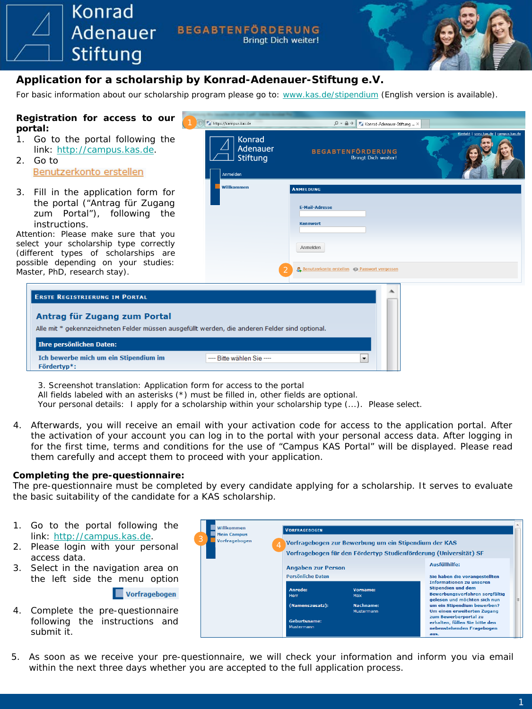**Adenauer BEGABTENFÖRDERUNG Bringt Dich weiter!** Stiftung **Application for a scholarship by Konrad-Adenauer-Stiftung e.V.** For basic information about our scholarship program please go to: [www.kas.de/stipendium](http://www.kas.de/stipendium) (English version is available). **Registration for access to our portal:** 1. Go to the portal following the link: [http://campus.kas.de](http://campus.kas.de/). 2. Go to

| Registration for access to our<br>portal:                                                                                                                                                                                                                                                                              | → Fa https://campus.kas.de                               | $Q - Q \rightarrow$<br>Konrad-Adenauer-Stiftung  X                                                                                 |  |
|------------------------------------------------------------------------------------------------------------------------------------------------------------------------------------------------------------------------------------------------------------------------------------------------------------------------|----------------------------------------------------------|------------------------------------------------------------------------------------------------------------------------------------|--|
| 1. Go to the portal following the<br>link: http://campus.kas.de.<br>2. Go to<br>Benutzerkonto erstellen                                                                                                                                                                                                                | Konrad<br><b>Adenauer</b><br><b>Stiftung</b><br>Anmelden | <b>BEGABTENFÖRDERUNG</b><br><b>Bringt Dich weiter!</b>                                                                             |  |
| 3. Fill in the application form for<br>the portal ("Antrag für Zugang<br>zum Portal"), following the<br>instructions.<br>Attention: Please make sure that you<br>select your scholarship type correctly<br>(different types of scholarships are<br>possible depending on your studies:<br>Master, PhD, research stay). | Willkommen                                               | <b>ANMELDUNG</b><br><b>E-Mail-Adresse</b><br><b>Kennwort</b><br>Anmelden<br><b>B.</b> Benutzerkonto erstellen 2 Passwort vergessen |  |
| <b>ERSTE REGISTRIERUNG IM PORTAL</b><br>Antrag für Zugang zum Portal<br>Alle mit * gekennzeichneten Felder müssen ausgefüllt werden, die anderen Felder sind optional.<br><b>Ihre persönlichen Daten:</b><br>Ich bewerbe mich um ein Stipendium im<br>Fördertvp*:                                                      | ---- Bitte wählen Sie ----                               | $\overline{\phantom{a}}$                                                                                                           |  |

*3. Screenshot translation:* Application form for access to the portal

All fields labeled with an asterisks (\*) must be filled in, other fields are optional.

Your personal details: I apply for a scholarship within your scholarship type  $(...)$ . Please select.

4. Afterwards, you will receive an email with your activation code for access to the application portal. After the activation of your account you can log in to the portal with your personal access data. After logging in for the first time, terms and conditions for the use of "Campus KAS Portal" will be displayed. Please read them carefully and accept them to proceed with your application.

### **Completing the pre-questionnaire:**

Konrad

The pre-questionnaire must be completed by every candidate applying for a scholarship. It serves to evaluate the basic suitability of the candidate for a KAS scholarship.

- 1. Go to the portal following the link: [http://campus.kas.de](http://campus.kas.de/).
- 2. Please login with your personal access data.
- 3. Select in the navigation area on the left side the menu option



4. Complete the pre-questionnaire following the instructions and submit it.

| Willkommen<br><b>Mein Campus</b><br>З<br>Vorfragebogen | <b>VORFRAGEBOGEN</b>              |                                                                   |                                                                                              |  |
|--------------------------------------------------------|-----------------------------------|-------------------------------------------------------------------|----------------------------------------------------------------------------------------------|--|
|                                                        | 4                                 | Vorfragebogen zur Bewerbung um ein Stipendium der KAS             |                                                                                              |  |
|                                                        |                                   | Vorfragebogen für den Fördertyp Studienförderung (Universität) SF |                                                                                              |  |
|                                                        | <b>Angaben zur Person</b>         |                                                                   | Ausfüllhilfe:                                                                                |  |
|                                                        | Persönliche Daten                 |                                                                   | Sie haben die vorangestellten<br><b>Informationen zu unseren</b>                             |  |
|                                                        | Anrede:<br>Herr                   | Vorname:<br>Max                                                   | Stipendien und dem<br>Bewerbungsverfahren sorgfältig<br>gelesen und möchten sich nun         |  |
|                                                        | (Namenszusatz):                   | Nachname:<br>Mustermann                                           | um ein Stipendium bewerben?<br>Um einen erweiterten Zugang                                   |  |
|                                                        | <b>Geburtsname:</b><br>Mustermann |                                                                   | zum Bewerberportal zu<br>erhalten, füllen Sie bitte den<br>nebenstehenden Fragebogen<br>aus. |  |

5. As soon as we receive your pre-questionnaire, we will check your information and inform you via email within the next three days whether you are accepted to the full application process.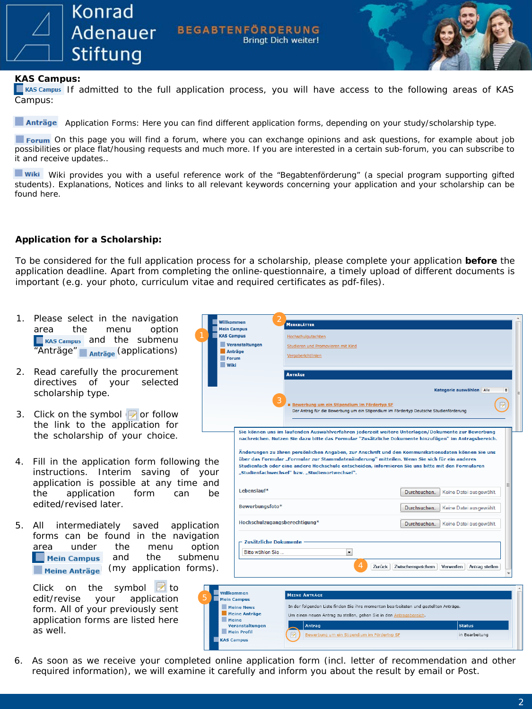

**BEGABTENFÖRDERUNG Bringt Dich weiter!** 



## **KAS Campus:**

**Exas campus** If admitted to the full application process, you will have access to the following areas of KAS Campus:

Anträge Application Forms: Here you can find different application forms, depending on your study/scholarship type.

Forum On this page you will find a forum, where you can exchange opinions and ask questions, for example about job possibilities or place flat/housing requests and much more. If you are interested in a certain sub-forum, you can subscribe to it and receive updates..

Wiki Wiki provides you with a useful reference work of the "Begabtenförderung" (a special program supporting gifted students). Explanations, Notices and links to all relevant keywords concerning your application and your scholarship can be found here.

# **Application for a Scholarship:**

To be considered for the full application process for a scholarship, please complete your application **before** the application deadline. Apart from completing the online-questionnaire, a timely upload of different documents is important (e.g. your photo, curriculum vitae and required certificates as pdf-files).

- 1. Please select in the navigation area the menu option  $\Box$  KAS Campus and the submenu "Anträge" **Anträge** (applications)
- 2. Read carefully the procurement directives of your selected scholarship type.
- 3. Click on the symbol  $\overrightarrow{P}$  or follow the link to the application for the scholarship of your choice.
- 4. Fill in the application form following instructions. Interim saving of your application is possible at any time a the application form can edited/revised later.
- 5. All intermediately saved application forms can be found in the navigat area under the menu option  $\Box$  Mein Campus and the subme **Meine Anträge** (my application forms).

Click on the symbol  $\triangleright$  to edit/revise your application form. All of your previously sent application forms are listed here as well.

| Willkommen        |                                           | <b>MERKBLÄTTER</b>                                                 |                                                                                                                                                                                                                                                                                                                                                                                                                                                                                                                       |
|-------------------|-------------------------------------------|--------------------------------------------------------------------|-----------------------------------------------------------------------------------------------------------------------------------------------------------------------------------------------------------------------------------------------------------------------------------------------------------------------------------------------------------------------------------------------------------------------------------------------------------------------------------------------------------------------|
| <b>KAS Campus</b> | <b>Mein Campus</b>                        |                                                                    |                                                                                                                                                                                                                                                                                                                                                                                                                                                                                                                       |
|                   |                                           | Hochschulgutachten                                                 |                                                                                                                                                                                                                                                                                                                                                                                                                                                                                                                       |
|                   | Veranstaltungen<br>Anträge                | Studieren und Promovieren mit Kind                                 |                                                                                                                                                                                                                                                                                                                                                                                                                                                                                                                       |
|                   | <b>Forum</b>                              | Vergaberichtlinien                                                 |                                                                                                                                                                                                                                                                                                                                                                                                                                                                                                                       |
| Wiki              |                                           |                                                                    |                                                                                                                                                                                                                                                                                                                                                                                                                                                                                                                       |
|                   | 3                                         | <b>ANTRÄGE</b><br>Bewerbung um ein Stipendium im Fördertyp SF      | Kategorie auswählen Alle<br>÷<br>Der Antrag für die Bewerbung um ein Stipendium im Fördertyp Deutsche Studienförderung                                                                                                                                                                                                                                                                                                                                                                                                |
| the<br>วur<br>and | I ebenslauf*                              | "Studienfachwechsel" bzw. "Studienortwechsel".                     | Sie können uns im laufenden Auswahlverfahren jederzeit weitere Unterlagen/Dokumente zur Bewerbung<br>nachreichen. Nutzen Sie dazu bitte das Formular "Zusätzliche Dokumente hinzufügen" im Antragsbereich.<br>Änderungen zu Ihren persönlichen Angaben, zur Anschrift und den Kommunikationsdaten können Sie uns<br>über das Formular "Formular zur Stammdatenänderung" mitteilen. Wenn Sie sich für ein anderes<br>Studienfach oder eine andere Hochschule entscheiden, informieren Sie uns bitte mit den Formularen |
| be                | Bewerbungsfoto*                           |                                                                    | Durchsuchen<br>Keine Datei ausgewählt.<br>Durchsuchen<br>Keine Datei ausgewählt.                                                                                                                                                                                                                                                                                                                                                                                                                                      |
| ion               | Hochschulzugangsberechtigung*             |                                                                    | Durchsuchen<br>Keine Datei ausgewählt.                                                                                                                                                                                                                                                                                                                                                                                                                                                                                |
| ion<br>ion        | Zusätzliche Dokumente                     |                                                                    |                                                                                                                                                                                                                                                                                                                                                                                                                                                                                                                       |
| ∍nu               | Bitte wählen Sie                          | $\overline{\phantom{a}}$                                           |                                                                                                                                                                                                                                                                                                                                                                                                                                                                                                                       |
| ıs).              |                                           | 4                                                                  | Zwischenspeichem<br>Antrag stellen<br>Zurück<br>Verwerfen                                                                                                                                                                                                                                                                                                                                                                                                                                                             |
|                   | Willkommen<br><b>Mein Campus</b>          | <b>MEINE ANTRÄGE</b>                                               |                                                                                                                                                                                                                                                                                                                                                                                                                                                                                                                       |
|                   | <b>Meine News</b><br><b>Meine Anträge</b> | Um einen neuen Antrag zu stellen, gehen Sie in den Antragsbereich. | In der folgenden Liste finden Sie ihre momentan bearbeiteten und gestellten Anträge.                                                                                                                                                                                                                                                                                                                                                                                                                                  |
|                   | <b>Meine</b><br>Veranctaltungen           | Antean                                                             | Status                                                                                                                                                                                                                                                                                                                                                                                                                                                                                                                |

<u>ung um ein Stipendium im Fördertyp SF</u>

6. As soon as we receive your completed online application form (incl. letter of recommendation and other required information), we will examine it carefully and inform you about the result by email or Post.

Mein Profil

**KAS Campus** 

in Bearbeitung